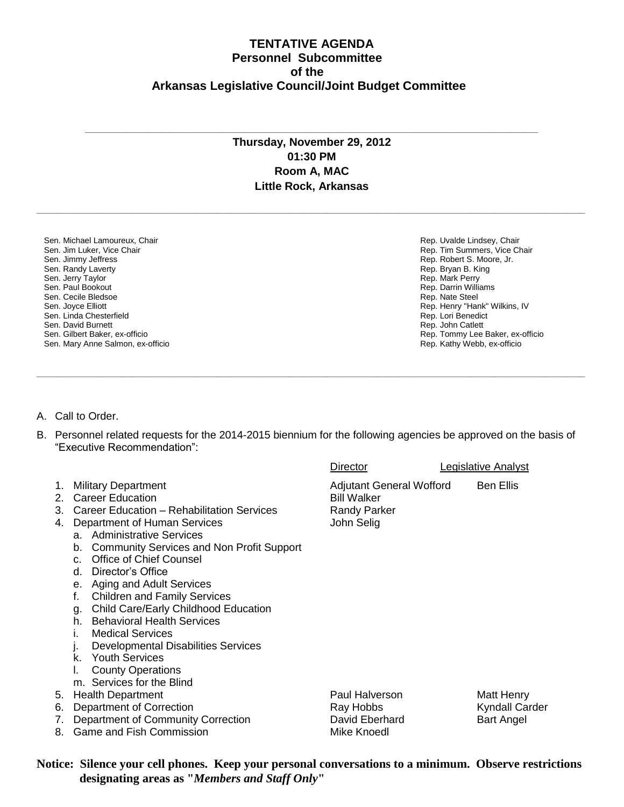## **TENTATIVE AGENDA Personnel Subcommittee of the Arkansas Legislative Council/Joint Budget Committee**

## **Thursday, November 29, 2012 01:30 PM Room A, MAC Little Rock, Arkansas**

**\_\_\_\_\_\_\_\_\_\_\_\_\_\_\_\_\_\_\_\_\_\_\_\_\_\_\_\_\_\_\_\_\_\_\_\_\_\_\_\_\_\_\_\_\_\_\_\_\_\_\_\_\_\_\_\_\_\_\_\_\_\_\_\_\_\_\_\_\_\_\_\_\_\_\_\_\_\_\_\_\_\_\_\_\_\_\_\_\_\_\_\_\_\_\_\_\_\_\_\_\_\_\_\_\_\_\_\_\_\_\_\_\_\_\_\_\_\_\_\_\_**

**\_\_\_\_\_\_\_\_\_\_\_\_\_\_\_\_\_\_\_\_\_\_\_\_\_\_\_\_\_\_\_\_\_\_\_\_\_\_\_\_\_\_\_\_\_\_\_\_\_\_\_\_\_\_\_\_\_\_\_\_\_\_\_\_\_\_\_\_\_\_\_\_\_\_\_\_\_\_\_\_\_\_\_\_\_\_\_\_\_\_\_\_\_\_\_\_\_\_\_\_**

Sen. Michael Lamoureux, Chair Sen. Jim Luker, Vice Chair Sen. Jimmy Jeffress Sen. Randy Laverty Sen. Jerry Taylor Sen. Paul Bookout Sen. Cecile Bledsoe Sen. Joyce Elliott Sen. Linda Chesterfield Sen. David Burnett Sen. Gilbert Baker, ex-officio Sen. Mary Anne Salmon, ex-officio Rep. Uvalde Lindsey, Chair Rep. Tim Summers, Vice Chair Rep. Robert S. Moore, Jr. Rep. Bryan B. King Rep. Mark Perry Rep. Darrin Williams Rep. Nate Steel Rep. Henry "Hank" Wilkins, IV Rep. Lori Benedict Rep. John Catlett Rep. Tommy Lee Baker, ex-officio Rep. Kathy Webb, ex-officio

- A. Call to Order.
- B. Personnel related requests for the 2014-2015 biennium for the following agencies be approved on the basis of "Executive Recommendation":

**\_\_\_\_\_\_\_\_\_\_\_\_\_\_\_\_\_\_\_\_\_\_\_\_\_\_\_\_\_\_\_\_\_\_\_\_\_\_\_\_\_\_\_\_\_\_\_\_\_\_\_\_\_\_\_\_\_\_\_\_\_\_\_\_\_\_\_\_\_\_\_\_\_\_\_\_\_\_\_\_\_\_\_\_\_\_\_\_\_\_\_\_\_\_\_\_\_\_\_\_\_\_\_\_\_\_\_\_\_\_\_\_\_\_\_\_\_\_\_\_\_**

|                      |                                                                                                                                                                                                                                                                                                                                                                                                                                                                                                                                                                                                                                 | Director                                                                                   | Legislative Analyst                                      |
|----------------------|---------------------------------------------------------------------------------------------------------------------------------------------------------------------------------------------------------------------------------------------------------------------------------------------------------------------------------------------------------------------------------------------------------------------------------------------------------------------------------------------------------------------------------------------------------------------------------------------------------------------------------|--------------------------------------------------------------------------------------------|----------------------------------------------------------|
| 1.<br>2.<br>3.<br>4. | <b>Military Department</b><br><b>Career Education</b><br>Career Education - Rehabilitation Services<br>Department of Human Services<br>a. Administrative Services<br><b>Community Services and Non Profit Support</b><br>b.<br><b>Office of Chief Counsel</b><br>$C_{n}$<br>Director's Office<br>d.<br>e. Aging and Adult Services<br><b>Children and Family Services</b><br>f.<br>Child Care/Early Childhood Education<br>q.<br><b>Behavioral Health Services</b><br>h.<br><b>Medical Services</b><br><b>Developmental Disabilities Services</b><br>k. Youth Services<br><b>County Operations</b><br>m. Services for the Blind | <b>Adjutant General Wofford</b><br><b>Bill Walker</b><br><b>Randy Parker</b><br>John Selig | <b>Ben Ellis</b>                                         |
| 5.<br>6.<br>7.<br>8. | <b>Health Department</b><br>Department of Correction<br>Department of Community Correction<br><b>Game and Fish Commission</b>                                                                                                                                                                                                                                                                                                                                                                                                                                                                                                   | Paul Halverson<br>Ray Hobbs<br>David Eberhard<br>Mike Knoedl                               | Matt Henry<br><b>Kyndall Carder</b><br><b>Bart Angel</b> |
|                      |                                                                                                                                                                                                                                                                                                                                                                                                                                                                                                                                                                                                                                 |                                                                                            |                                                          |

**Notice: Silence your cell phones. Keep your personal conversations to a minimum. Observe restrictions designating areas as "***Members and Staff Only***"**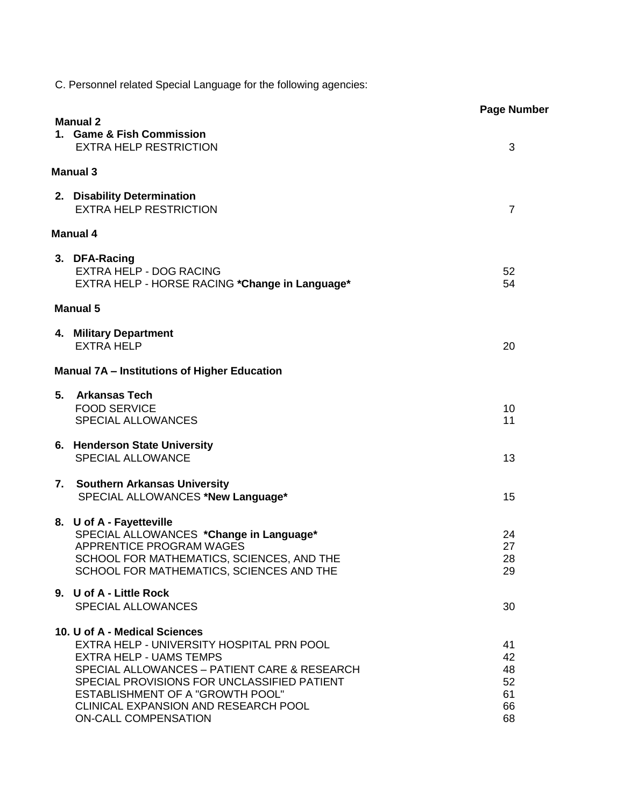C. Personnel related Special Language for the following agencies:

|    |                                                                                                                                                                                                                                                                                                                                      | Page Numb                              |
|----|--------------------------------------------------------------------------------------------------------------------------------------------------------------------------------------------------------------------------------------------------------------------------------------------------------------------------------------|----------------------------------------|
|    | <b>Manual 2</b><br>1. Game & Fish Commission<br><b>EXTRA HELP RESTRICTION</b>                                                                                                                                                                                                                                                        | 3                                      |
|    | <b>Manual 3</b>                                                                                                                                                                                                                                                                                                                      |                                        |
|    | 2. Disability Determination<br><b>EXTRA HELP RESTRICTION</b>                                                                                                                                                                                                                                                                         | $\overline{7}$                         |
|    | <b>Manual 4</b>                                                                                                                                                                                                                                                                                                                      |                                        |
|    | 3. DFA-Racing<br><b>EXTRA HELP - DOG RACING</b><br>EXTRA HELP - HORSE RACING *Change in Language*                                                                                                                                                                                                                                    | 52<br>54                               |
|    | <b>Manual 5</b>                                                                                                                                                                                                                                                                                                                      |                                        |
|    | 4. Military Department<br><b>EXTRA HELP</b>                                                                                                                                                                                                                                                                                          | 20                                     |
|    | <b>Manual 7A - Institutions of Higher Education</b>                                                                                                                                                                                                                                                                                  |                                        |
| 5. | <b>Arkansas Tech</b><br><b>FOOD SERVICE</b><br><b>SPECIAL ALLOWANCES</b>                                                                                                                                                                                                                                                             | 10<br>11                               |
|    | 6. Henderson State University<br><b>SPECIAL ALLOWANCE</b>                                                                                                                                                                                                                                                                            | 13                                     |
| 7. | <b>Southern Arkansas University</b><br>SPECIAL ALLOWANCES *New Language*                                                                                                                                                                                                                                                             | 15                                     |
|    | 8. U of A - Fayetteville<br>SPECIAL ALLOWANCES *Change in Language*<br>APPRENTICE PROGRAM WAGES<br>SCHOOL FOR MATHEMATICS, SCIENCES, AND THE<br>SCHOOL FOR MATHEMATICS, SCIENCES AND THE                                                                                                                                             | 24<br>27<br>28<br>29                   |
|    | 9. U of A - Little Rock<br><b>SPECIAL ALLOWANCES</b>                                                                                                                                                                                                                                                                                 | 30                                     |
|    | 10. U of A - Medical Sciences<br>EXTRA HELP - UNIVERSITY HOSPITAL PRN POOL<br><b>EXTRA HELP - UAMS TEMPS</b><br>SPECIAL ALLOWANCES - PATIENT CARE & RESEARCH<br>SPECIAL PROVISIONS FOR UNCLASSIFIED PATIENT<br><b>ESTABLISHMENT OF A "GROWTH POOL"</b><br><b>CLINICAL EXPANSION AND RESEARCH POOL</b><br><b>ON-CALL COMPENSATION</b> | 41<br>42<br>48<br>52<br>61<br>66<br>68 |

er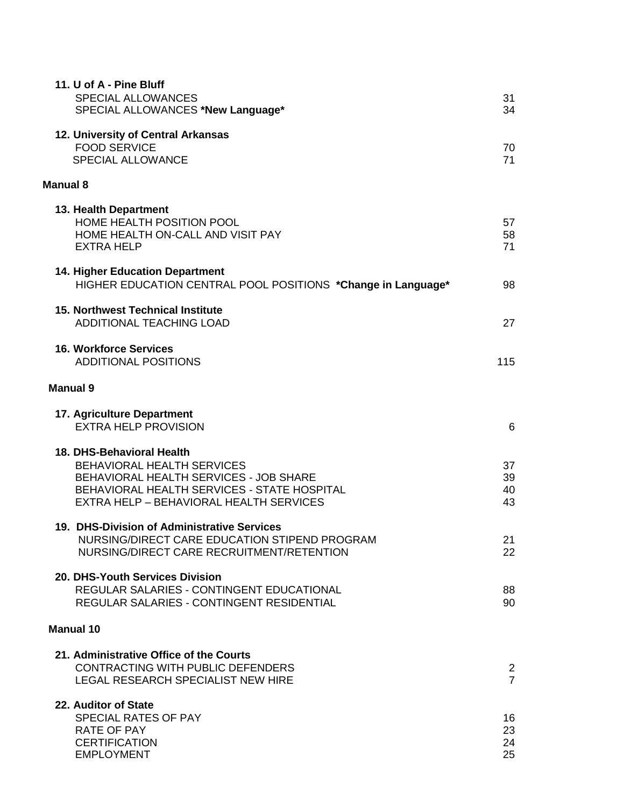| 11. U of A - Pine Bluff<br><b>SPECIAL ALLOWANCES</b><br>SPECIAL ALLOWANCES *New Language*                                                                                                          | 31<br>34                         |
|----------------------------------------------------------------------------------------------------------------------------------------------------------------------------------------------------|----------------------------------|
| 12. University of Central Arkansas<br><b>FOOD SERVICE</b><br><b>SPECIAL ALLOWANCE</b>                                                                                                              | 70<br>71                         |
| <b>Manual 8</b>                                                                                                                                                                                    |                                  |
| 13. Health Department<br>HOME HEALTH POSITION POOL<br>HOME HEALTH ON-CALL AND VISIT PAY<br><b>EXTRA HELP</b>                                                                                       | 57<br>58<br>71                   |
| <b>14. Higher Education Department</b><br>HIGHER EDUCATION CENTRAL POOL POSITIONS *Change in Language*                                                                                             | 98                               |
| <b>15. Northwest Technical Institute</b><br><b>ADDITIONAL TEACHING LOAD</b>                                                                                                                        | 27                               |
| <b>16. Workforce Services</b><br><b>ADDITIONAL POSITIONS</b>                                                                                                                                       | 115                              |
| <b>Manual 9</b>                                                                                                                                                                                    |                                  |
| 17. Agriculture Department<br><b>EXTRA HELP PROVISION</b>                                                                                                                                          | 6                                |
| 18. DHS-Behavioral Health<br><b>BEHAVIORAL HEALTH SERVICES</b><br>BEHAVIORAL HEALTH SERVICES - JOB SHARE<br>BEHAVIORAL HEALTH SERVICES - STATE HOSPITAL<br>EXTRA HELP - BEHAVIORAL HEALTH SERVICES | 37<br>39<br>40<br>43             |
| 19. DHS-Division of Administrative Services<br>NURSING/DIRECT CARE EDUCATION STIPEND PROGRAM<br>NURSING/DIRECT CARE RECRUITMENT/RETENTION                                                          | 21<br>22                         |
| 20. DHS-Youth Services Division<br><b>REGULAR SALARIES - CONTINGENT EDUCATIONAL</b><br>REGULAR SALARIES - CONTINGENT RESIDENTIAL                                                                   | 88<br>90                         |
| <b>Manual 10</b>                                                                                                                                                                                   |                                  |
| 21. Administrative Office of the Courts<br>CONTRACTING WITH PUBLIC DEFENDERS<br>LEGAL RESEARCH SPECIALIST NEW HIRE                                                                                 | $\overline{c}$<br>$\overline{7}$ |
| 22. Auditor of State<br><b>SPECIAL RATES OF PAY</b><br>RATE OF PAY<br><b>CERTIFICATION</b><br><b>EMPLOYMENT</b>                                                                                    | 16<br>23<br>24<br>25             |